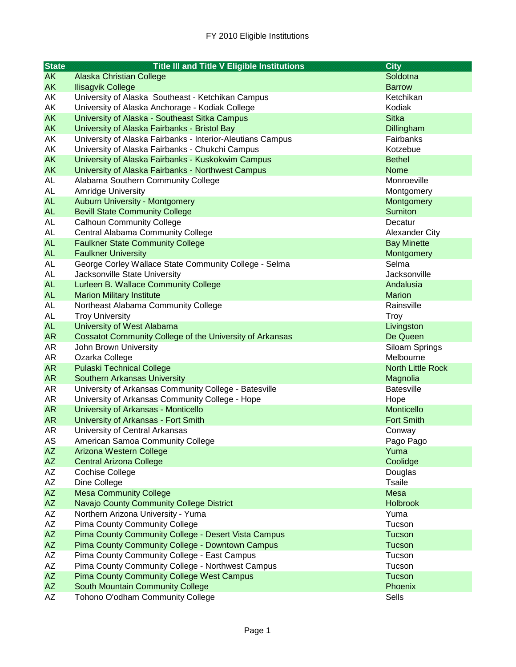| <b>State</b>           | <b>Title III and Title V Eligible Institutions</b>              | <b>City</b>              |
|------------------------|-----------------------------------------------------------------|--------------------------|
| <b>AK</b>              | <b>Alaska Christian College</b>                                 | Soldotna                 |
| <b>AK</b>              | <b>Ilisagvik College</b>                                        | <b>Barrow</b>            |
| AK                     | University of Alaska Southeast - Ketchikan Campus               | Ketchikan                |
| AK                     | University of Alaska Anchorage - Kodiak College                 | Kodiak                   |
| <b>AK</b>              | University of Alaska - Southeast Sitka Campus                   | <b>Sitka</b>             |
| <b>AK</b>              | University of Alaska Fairbanks - Bristol Bay                    | Dillingham               |
| AK                     | University of Alaska Fairbanks - Interior-Aleutians Campus      | Fairbanks                |
| AK                     | University of Alaska Fairbanks - Chukchi Campus                 | Kotzebue                 |
| <b>AK</b>              | University of Alaska Fairbanks - Kuskokwim Campus               | <b>Bethel</b>            |
| <b>AK</b>              | University of Alaska Fairbanks - Northwest Campus               | Nome                     |
| <b>AL</b>              | Alabama Southern Community College                              | Monroeville              |
| <b>AL</b>              | <b>Amridge University</b>                                       | Montgomery               |
| <b>AL</b>              | Auburn University - Montgomery                                  | Montgomery               |
| <b>AL</b>              | <b>Bevill State Community College</b>                           | <b>Sumiton</b>           |
| <b>AL</b>              | <b>Calhoun Community College</b>                                | Decatur                  |
| AL                     | Central Alabama Community College                               | <b>Alexander City</b>    |
| <b>AL</b>              | <b>Faulkner State Community College</b>                         | <b>Bay Minette</b>       |
| <b>AL</b>              | <b>Faulkner University</b>                                      | Montgomery               |
| <b>AL</b>              | George Corley Wallace State Community College - Selma           | Selma                    |
| <b>AL</b>              | Jacksonville State University                                   | Jacksonville             |
| <b>AL</b>              | Lurleen B. Wallace Community College                            | Andalusia                |
| <b>AL</b>              | <b>Marion Military Institute</b>                                | <b>Marion</b>            |
| <b>AL</b>              | Northeast Alabama Community College                             | Rainsville               |
| AL                     | <b>Troy University</b>                                          | <b>Troy</b>              |
| <b>AL</b>              | University of West Alabama                                      | Livingston               |
| <b>AR</b>              | <b>Cossatot Community College of the University of Arkansas</b> | De Queen                 |
| AR                     | John Brown University                                           | Siloam Springs           |
| AR                     | Ozarka College                                                  | Melbourne                |
| AR                     | <b>Pulaski Technical College</b>                                | <b>North Little Rock</b> |
| AR                     | <b>Southern Arkansas University</b>                             | Magnolia                 |
| AR                     | University of Arkansas Community College - Batesville           | <b>Batesville</b>        |
| AR                     | University of Arkansas Community College - Hope                 | Hope                     |
| <b>AR</b>              | University of Arkansas - Monticello                             | Monticello               |
| <b>AR</b>              | University of Arkansas - Fort Smith                             | <b>Fort Smith</b>        |
| <b>AR</b>              | University of Central Arkansas                                  | Conway                   |
| AS                     | American Samoa Community College                                | Pago Pago                |
| <b>AZ</b>              | Arizona Western College                                         | Yuma                     |
| AZ                     | <b>Central Arizona College</b>                                  | Coolidge                 |
| AZ                     | <b>Cochise College</b>                                          | Douglas                  |
| AZ                     | Dine College                                                    | <b>Tsaile</b>            |
| AZ                     | <b>Mesa Community College</b>                                   | <b>Mesa</b>              |
| AZ                     | Navajo County Community College District                        | <b>Holbrook</b>          |
| AZ                     | Northern Arizona University - Yuma                              | Yuma                     |
| AZ                     | <b>Pima County Community College</b>                            | Tucson                   |
| $\mathsf{A}\mathsf{Z}$ | Pima County Community College - Desert Vista Campus             | Tucson                   |
| AZ                     | Pima County Community College - Downtown Campus                 | Tucson                   |
| AZ                     | Pima County Community College - East Campus                     | Tucson                   |
| AZ                     | Pima County Community College - Northwest Campus                | Tucson                   |
| AZ                     | <b>Pima County Community College West Campus</b>                | Tucson                   |
| AZ                     | South Mountain Community College                                | Phoenix                  |
| AZ                     | Tohono O'odham Community College                                | Sells                    |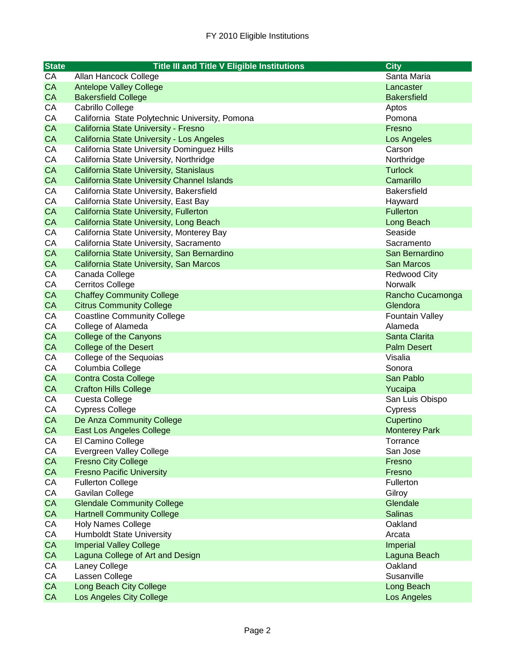| <b>State</b> | <b>Title III and Title V Eligible Institutions</b> | <b>City</b>            |
|--------------|----------------------------------------------------|------------------------|
| CA           | Allan Hancock College                              | Santa Maria            |
| <b>CA</b>    | <b>Antelope Valley College</b>                     | Lancaster              |
| <b>CA</b>    | <b>Bakersfield College</b>                         | <b>Bakersfield</b>     |
| CA           | Cabrillo College                                   | Aptos                  |
| CA           | California State Polytechnic University, Pomona    | Pomona                 |
| <b>CA</b>    | California State University - Fresno               | Fresno                 |
| <b>CA</b>    | California State University - Los Angeles          | Los Angeles            |
| CA           | California State University Dominguez Hills        | Carson                 |
| CA           | California State University, Northridge            | Northridge             |
| <b>CA</b>    | California State University, Stanislaus            | <b>Turlock</b>         |
| <b>CA</b>    | <b>California State University Channel Islands</b> | Camarillo              |
| CA           | California State University, Bakersfield           | <b>Bakersfield</b>     |
| CA           | California State University, East Bay              | Hayward                |
| <b>CA</b>    | California State University, Fullerton             | <b>Fullerton</b>       |
| CA           | California State University, Long Beach            | Long Beach             |
| CA           | California State University, Monterey Bay          | Seaside                |
| CA           | California State University, Sacramento            | Sacramento             |
| CA           | California State University, San Bernardino        | San Bernardino         |
| CA           | California State University, San Marcos            | San Marcos             |
| CA           | Canada College                                     | <b>Redwood City</b>    |
| CA           | <b>Cerritos College</b>                            | Norwalk                |
| <b>CA</b>    | <b>Chaffey Community College</b>                   | Rancho Cucamonga       |
| <b>CA</b>    | <b>Citrus Community College</b>                    | Glendora               |
| CA           | <b>Coastline Community College</b>                 | <b>Fountain Valley</b> |
| CA           | College of Alameda                                 | Alameda                |
| <b>CA</b>    | <b>College of the Canyons</b>                      | Santa Clarita          |
| <b>CA</b>    | <b>College of the Desert</b>                       | <b>Palm Desert</b>     |
| CA           | College of the Sequoias                            | Visalia                |
| CA           | Columbia College                                   | Sonora                 |
| <b>CA</b>    | <b>Contra Costa College</b>                        | San Pablo              |
| CA           | <b>Crafton Hills College</b>                       | Yucaipa                |
| CA           | Cuesta College                                     | San Luis Obispo        |
| CA           | <b>Cypress College</b>                             | Cypress                |
| <b>CA</b>    | De Anza Community College                          | Cupertino              |
| <b>CA</b>    | East Los Angeles College                           | <b>Monterey Park</b>   |
| CА           | El Camino College                                  | Torrance               |
| CA           | Evergreen Valley College                           | San Jose               |
| CA           | <b>Fresno City College</b>                         | Fresno                 |
| CA           | <b>Fresno Pacific University</b>                   | Fresno                 |
| CA           | <b>Fullerton College</b>                           | Fullerton              |
| CA           | Gavilan College                                    | Gilroy                 |
| CA           | <b>Glendale Community College</b>                  | Glendale               |
| CA           | <b>Hartnell Community College</b>                  | <b>Salinas</b>         |
| CA           | <b>Holy Names College</b>                          | Oakland                |
| CA           | <b>Humboldt State University</b>                   | Arcata                 |
| CA           | <b>Imperial Valley College</b>                     | Imperial               |
| CA           | Laguna College of Art and Design                   | Laguna Beach           |
| CA           | Laney College                                      | Oakland                |
| CA           | Lassen College                                     | Susanville             |
| CA           | Long Beach City College                            | Long Beach             |
| CA           | Los Angeles City College                           | Los Angeles            |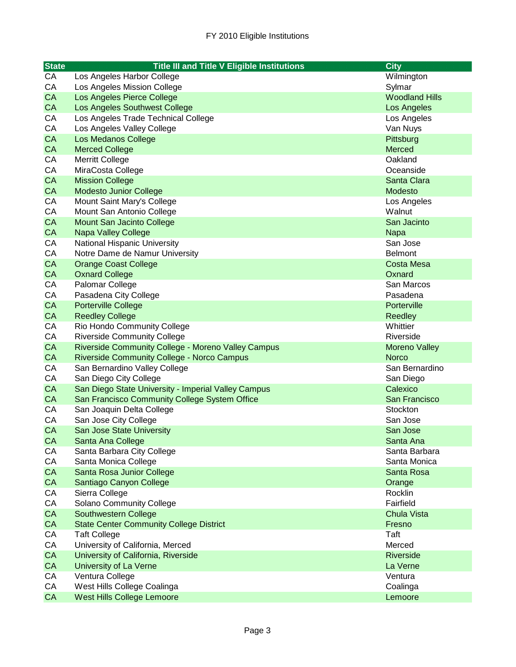| <b>State</b> | <b>Title III and Title V Eligible Institutions</b>  | <b>City</b>           |
|--------------|-----------------------------------------------------|-----------------------|
| CA           | Los Angeles Harbor College                          | Wilmington            |
| CA           | Los Angeles Mission College                         | Sylmar                |
| CA           | Los Angeles Pierce College                          | <b>Woodland Hills</b> |
| <b>CA</b>    | Los Angeles Southwest College                       | Los Angeles           |
| CA           | Los Angeles Trade Technical College                 | Los Angeles           |
| CA           | Los Angeles Valley College                          | Van Nuys              |
| <b>CA</b>    | <b>Los Medanos College</b>                          | Pittsburg             |
| <b>CA</b>    | <b>Merced College</b>                               | <b>Merced</b>         |
| CA           | <b>Merritt College</b>                              | Oakland               |
| CA           | MiraCosta College                                   | Oceanside             |
| <b>CA</b>    | <b>Mission College</b>                              | Santa Clara           |
| <b>CA</b>    | <b>Modesto Junior College</b>                       | Modesto               |
| CA           | Mount Saint Mary's College                          | Los Angeles           |
| CA           | Mount San Antonio College                           | Walnut                |
| CA           | Mount San Jacinto College                           | San Jacinto           |
| <b>CA</b>    | <b>Napa Valley College</b>                          | <b>Napa</b>           |
| CA           | National Hispanic University                        | San Jose              |
| CA           | Notre Dame de Namur University                      | <b>Belmont</b>        |
| CA           | <b>Orange Coast College</b>                         | Costa Mesa            |
| <b>CA</b>    | <b>Oxnard College</b>                               | Oxnard                |
| CA           | Palomar College                                     | San Marcos            |
| CA           | Pasadena City College                               | Pasadena              |
| <b>CA</b>    | <b>Porterville College</b>                          | Porterville           |
| <b>CA</b>    | <b>Reedley College</b>                              | <b>Reedley</b>        |
| CA           | Rio Hondo Community College                         | Whittier              |
| CA           | <b>Riverside Community College</b>                  | Riverside             |
| <b>CA</b>    | Riverside Community College - Moreno Valley Campus  | <b>Moreno Valley</b>  |
| <b>CA</b>    | <b>Riverside Community College - Norco Campus</b>   | <b>Norco</b>          |
| CA           | San Bernardino Valley College                       | San Bernardino        |
| CA           | San Diego City College                              | San Diego             |
| CA           | San Diego State University - Imperial Valley Campus | Calexico              |
| <b>CA</b>    | San Francisco Community College System Office       | San Francisco         |
| CA           | San Joaquin Delta College                           | Stockton              |
| CA           | San Jose City College                               | San Jose              |
| <b>CA</b>    | San Jose State University                           | San Jose              |
| <b>CA</b>    | Santa Ana College                                   | Santa Ana             |
| CA           | Santa Barbara City College                          | Santa Barbara         |
| CA           | Santa Monica College                                | Santa Monica          |
| CA           | Santa Rosa Junior College                           | Santa Rosa            |
| CA           | Santiago Canyon College                             | Orange                |
| CA           | Sierra College                                      | Rocklin               |
| CA           | <b>Solano Community College</b>                     | Fairfield             |
| CA           | Southwestern College                                | <b>Chula Vista</b>    |
| CA           | <b>State Center Community College District</b>      | Fresno                |
| CA           | <b>Taft College</b>                                 | Taft                  |
| CA           | University of California, Merced                    | Merced                |
| CA           | University of California, Riverside                 | <b>Riverside</b>      |
| CA           | <b>University of La Verne</b>                       | La Verne              |
| CA           | Ventura College                                     | Ventura               |
| CA           | West Hills College Coalinga                         | Coalinga              |
| CA           | <b>West Hills College Lemoore</b>                   | Lemoore               |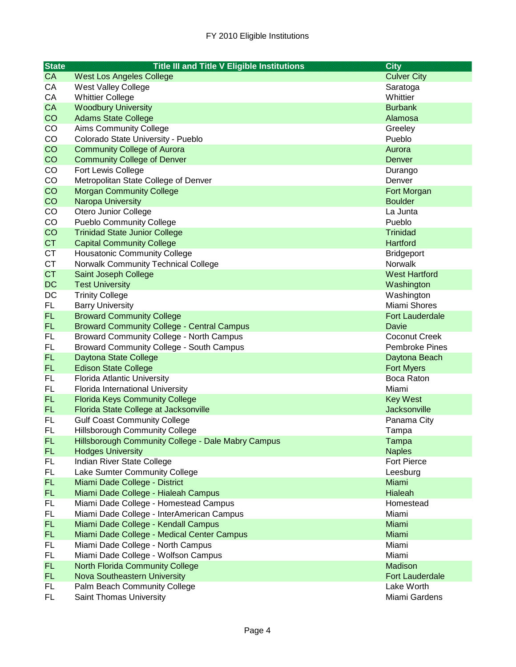| <b>State</b> | <b>Title III and Title V Eligible Institutions</b>           | <b>City</b>                       |
|--------------|--------------------------------------------------------------|-----------------------------------|
| <b>CA</b>    | <b>West Los Angeles College</b>                              | <b>Culver City</b>                |
| CA           | <b>West Valley College</b>                                   | Saratoga                          |
| CA           | <b>Whittier College</b>                                      | Whittier                          |
| CA           | <b>Woodbury University</b>                                   | <b>Burbank</b>                    |
| CO           | <b>Adams State College</b>                                   | Alamosa                           |
| CO           | <b>Aims Community College</b>                                | Greeley                           |
| CO           | Colorado State University - Pueblo                           | Pueblo                            |
| CO           | <b>Community College of Aurora</b>                           | Aurora                            |
| CO           | <b>Community College of Denver</b>                           | Denver                            |
| $_{\rm CO}$  | Fort Lewis College                                           | Durango                           |
| CO           | Metropolitan State College of Denver                         | Denver                            |
| CO           | <b>Morgan Community College</b>                              | Fort Morgan                       |
| CO           | Naropa University                                            | <b>Boulder</b>                    |
| CO           | Otero Junior College                                         | La Junta                          |
| CO           | <b>Pueblo Community College</b>                              | Pueblo                            |
| CO           | <b>Trinidad State Junior College</b>                         | <b>Trinidad</b>                   |
| <b>CT</b>    | <b>Capital Community College</b>                             | Hartford                          |
| <b>CT</b>    | <b>Housatonic Community College</b>                          | <b>Bridgeport</b>                 |
| <b>CT</b>    | Norwalk Community Technical College                          | Norwalk                           |
| <b>CT</b>    | Saint Joseph College                                         | <b>West Hartford</b>              |
| <b>DC</b>    | <b>Test University</b>                                       | Washington                        |
| DC           | <b>Trinity College</b>                                       | Washington                        |
| FL.          | <b>Barry University</b>                                      | Miami Shores                      |
| FL.          | <b>Broward Community College</b>                             | <b>Fort Lauderdale</b>            |
| <b>FL</b>    | <b>Broward Community College - Central Campus</b>            | Davie                             |
| <b>FL</b>    | <b>Broward Community College - North Campus</b>              | <b>Coconut Creek</b>              |
| FL           | <b>Broward Community College - South Campus</b>              | Pembroke Pines                    |
| <b>FL</b>    | Daytona State College                                        | Daytona Beach                     |
| FL.          | <b>Edison State College</b>                                  | <b>Fort Myers</b>                 |
| <b>FL</b>    | <b>Florida Atlantic University</b>                           | Boca Raton                        |
| FL.          | Florida International University                             | Miami                             |
| FL.          | <b>Florida Keys Community College</b>                        | <b>Key West</b>                   |
| FL.          | Florida State College at Jacksonville                        | Jacksonville                      |
| <b>FL</b>    | <b>Gulf Coast Community College</b>                          | Panama City                       |
| FL           | <b>Hillsborough Community College</b>                        | Tampa                             |
| FL           | Hillsborough Community College - Dale Mabry Campus           | Tampa                             |
| <b>FL</b>    | <b>Hodges University</b>                                     | <b>Naples</b>                     |
| <b>FL</b>    | Indian River State College                                   | <b>Fort Pierce</b>                |
| FL.          | Lake Sumter Community College                                | Leesburg                          |
| FL.          | Miami Dade College - District                                | Miami                             |
| FL.          | Miami Dade College - Hialeah Campus                          | Hialeah                           |
| FL           | Miami Dade College - Homestead Campus                        | Homestead                         |
| FL           | Miami Dade College - InterAmerican Campus                    | Miami                             |
| FL.          | Miami Dade College - Kendall Campus                          | Miami                             |
| FL.          | Miami Dade College - Medical Center Campus                   | Miami                             |
| FL           | Miami Dade College - North Campus                            | Miami                             |
| FL.          | Miami Dade College - Wolfson Campus                          | Miami                             |
| FL.<br>FL.   | <b>North Florida Community College</b>                       | Madison<br><b>Fort Lauderdale</b> |
| FL           | Nova Southeastern University<br>Palm Beach Community College | Lake Worth                        |
| FL.          | Saint Thomas University                                      | Miami Gardens                     |
|              |                                                              |                                   |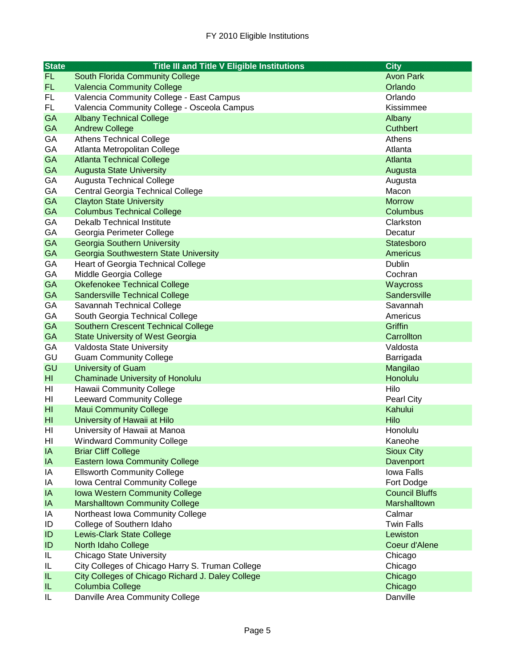| <b>State</b>    | <b>Title III and Title V Eligible Institutions</b> | <b>City</b>           |
|-----------------|----------------------------------------------------|-----------------------|
| <b>FL</b>       | South Florida Community College                    | <b>Avon Park</b>      |
| FL.             | <b>Valencia Community College</b>                  | Orlando               |
| FL              | Valencia Community College - East Campus           | Orlando               |
| FL.             | Valencia Community College - Osceola Campus        | Kissimmee             |
| <b>GA</b>       | <b>Albany Technical College</b>                    | Albany                |
| <b>GA</b>       | <b>Andrew College</b>                              | <b>Cuthbert</b>       |
| GA              | <b>Athens Technical College</b>                    | Athens                |
| GA              | Atlanta Metropolitan College                       | Atlanta               |
| <b>GA</b>       | <b>Atlanta Technical College</b>                   | Atlanta               |
| <b>GA</b>       | <b>Augusta State University</b>                    | Augusta               |
| GA              | <b>Augusta Technical College</b>                   | Augusta               |
| GA              | Central Georgia Technical College                  | Macon                 |
| <b>GA</b>       | <b>Clayton State University</b>                    | <b>Morrow</b>         |
| GA              | <b>Columbus Technical College</b>                  | Columbus              |
| GA              | Dekalb Technical Institute                         | Clarkston             |
| GA              | Georgia Perimeter College                          | Decatur               |
| <b>GA</b>       | <b>Georgia Southern University</b>                 | Statesboro            |
| <b>GA</b>       | Georgia Southwestern State University              | Americus              |
| GA              | <b>Heart of Georgia Technical College</b>          | Dublin                |
| GA              | Middle Georgia College                             | Cochran               |
| <b>GA</b>       | Okefenokee Technical College                       | Waycross              |
| <b>GA</b>       | <b>Sandersville Technical College</b>              | <b>Sandersville</b>   |
| GA              | Savannah Technical College                         | Savannah              |
| GA              | South Georgia Technical College                    | Americus              |
| <b>GA</b>       | <b>Southern Crescent Technical College</b>         | Griffin               |
| <b>GA</b>       | <b>State University of West Georgia</b>            | Carrollton            |
| GA              | Valdosta State University                          | Valdosta              |
| GU              | <b>Guam Community College</b>                      | Barrigada             |
| GU              | University of Guam                                 | Mangilao              |
| H <sub>l</sub>  | <b>Chaminade University of Honolulu</b>            | Honolulu              |
| HI              | Hawaii Community College                           | Hilo                  |
| HI              | <b>Leeward Community College</b>                   | Pearl City            |
| H <sub>II</sub> | <b>Maui Community College</b>                      | Kahului               |
| H <sub>II</sub> | University of Hawaii at Hilo                       | Hilo                  |
| HI              | University of Hawaii at Manoa                      | Honolulu              |
| HI              | <b>Windward Community College</b>                  | Kaneohe               |
| IA              | <b>Briar Cliff College</b>                         | <b>Sioux City</b>     |
| IA              | <b>Eastern Iowa Community College</b>              | Davenport             |
| IA              | <b>Ellsworth Community College</b>                 | Iowa Falls            |
| IA              | Iowa Central Community College                     | Fort Dodge            |
| IA              | <b>Iowa Western Community College</b>              | <b>Council Bluffs</b> |
| IA              | <b>Marshalltown Community College</b>              | Marshalltown          |
| IA              | Northeast Iowa Community College                   | Calmar                |
| ID              | College of Southern Idaho                          | <b>Twin Falls</b>     |
| ID              | <b>Lewis-Clark State College</b>                   | Lewiston              |
| ID              | North Idaho College                                | Coeur d'Alene         |
| IL              | <b>Chicago State University</b>                    | Chicago               |
| IL              | City Colleges of Chicago Harry S. Truman College   | Chicago               |
| IL              | City Colleges of Chicago Richard J. Daley College  | Chicago               |
| IL              | <b>Columbia College</b>                            | Chicago               |
| IL              | Danville Area Community College                    | Danville              |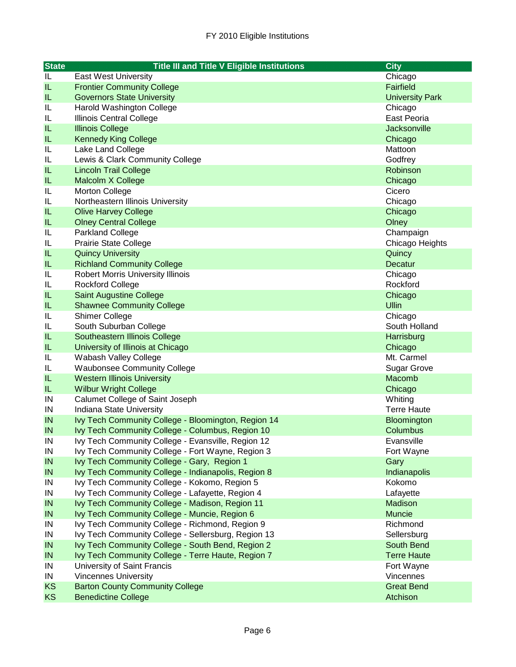| <b>State</b> | <b>Title III and Title V Eligible Institutions</b>                                                      | <b>City</b>              |
|--------------|---------------------------------------------------------------------------------------------------------|--------------------------|
| IL           | <b>East West University</b>                                                                             | Chicago                  |
| IL           | <b>Frontier Community College</b>                                                                       | Fairfield                |
| IL           | <b>Governors State University</b>                                                                       | <b>University Park</b>   |
| IL           | Harold Washington College                                                                               | Chicago                  |
| IL           | Illinois Central College                                                                                | East Peoria              |
| IL           | <b>Illinois College</b>                                                                                 | <b>Jacksonville</b>      |
| IL           | <b>Kennedy King College</b>                                                                             | Chicago                  |
| IL           | Lake Land College                                                                                       | Mattoon                  |
| IL           | Lewis & Clark Community College                                                                         | Godfrey                  |
| IL           | <b>Lincoln Trail College</b>                                                                            | Robinson                 |
| IL           | Malcolm X College                                                                                       | Chicago                  |
| IL           | <b>Morton College</b>                                                                                   | Cicero                   |
| IL           | Northeastern Illinois University                                                                        | Chicago                  |
| IL           | <b>Olive Harvey College</b>                                                                             | Chicago                  |
| IL           | <b>Olney Central College</b>                                                                            | Olney                    |
| IL           | <b>Parkland College</b>                                                                                 | Champaign                |
| IL           | <b>Prairie State College</b>                                                                            | Chicago Heights          |
| IL           | <b>Quincy University</b>                                                                                | Quincy                   |
| IL           | <b>Richland Community College</b>                                                                       | <b>Decatur</b>           |
| IL           | <b>Robert Morris University Illinois</b>                                                                | Chicago                  |
| IL           | <b>Rockford College</b>                                                                                 | Rockford                 |
| IL           | <b>Saint Augustine College</b>                                                                          | Chicago                  |
| IL           | <b>Shawnee Community College</b>                                                                        | <b>Ullin</b>             |
| IL           | <b>Shimer College</b>                                                                                   | Chicago                  |
| IL           | South Suburban College                                                                                  | South Holland            |
| IL           | Southeastern Illinois College                                                                           | Harrisburg               |
| IL           | University of Illinois at Chicago                                                                       | Chicago                  |
| IL           | Wabash Valley College                                                                                   | Mt. Carmel               |
| IL           | <b>Waubonsee Community College</b>                                                                      | <b>Sugar Grove</b>       |
| IL           | <b>Western Illinois University</b>                                                                      | Macomb                   |
| IL.          | <b>Wilbur Wright College</b>                                                                            | Chicago                  |
| IN           | Calumet College of Saint Joseph                                                                         | Whiting                  |
| IN           | Indiana State University                                                                                | <b>Terre Haute</b>       |
| IN           | Ivy Tech Community College - Bloomington, Region 14                                                     | Bloomington<br>Columbus  |
| IN           | Ivy Tech Community College - Columbus, Region 10                                                        |                          |
| IN<br>IN     | Ivy Tech Community College - Evansville, Region 12<br>Ivy Tech Community College - Fort Wayne, Region 3 | Evansville<br>Fort Wayne |
| IN           | Ivy Tech Community College - Gary, Region 1                                                             | Gary                     |
| IN           | Ivy Tech Community College - Indianapolis, Region 8                                                     | Indianapolis             |
| IN           | Ivy Tech Community College - Kokomo, Region 5                                                           | Kokomo                   |
| IN           | Ivy Tech Community College - Lafayette, Region 4                                                        | Lafayette                |
| IN           | Ivy Tech Community College - Madison, Region 11                                                         | Madison                  |
| IN           | Ivy Tech Community College - Muncie, Region 6                                                           | <b>Muncie</b>            |
| ${\sf IN}$   | Ivy Tech Community College - Richmond, Region 9                                                         | Richmond                 |
| IN           | Ivy Tech Community College - Sellersburg, Region 13                                                     | Sellersburg              |
| IN           | Ivy Tech Community College - South Bend, Region 2                                                       | South Bend               |
| IN           | Ivy Tech Community College - Terre Haute, Region 7                                                      | <b>Terre Haute</b>       |
| ${\sf IN}$   | University of Saint Francis                                                                             | Fort Wayne               |
| ${\sf IN}$   | <b>Vincennes University</b>                                                                             | Vincennes                |
| KS           | <b>Barton County Community College</b>                                                                  | <b>Great Bend</b>        |
| <b>KS</b>    | <b>Benedictine College</b>                                                                              | Atchison                 |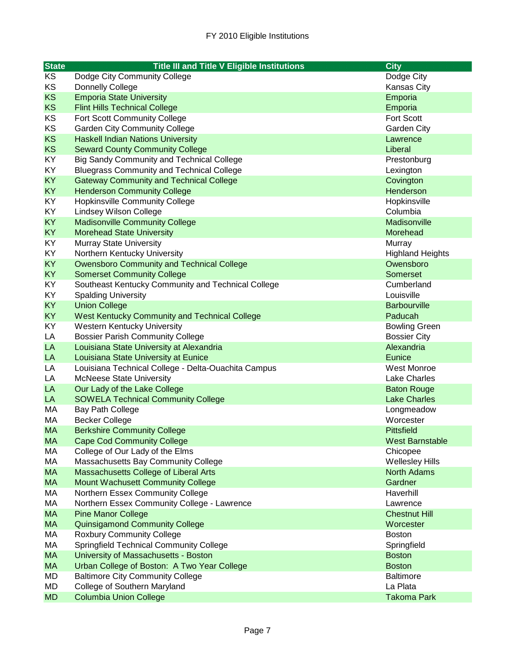| <b>State</b> | <b>Title III and Title V Eligible Institutions</b>  | <b>City</b>             |
|--------------|-----------------------------------------------------|-------------------------|
| KS           | Dodge City Community College                        | Dodge City              |
| KS           | <b>Donnelly College</b>                             | Kansas City             |
| <b>KS</b>    | <b>Emporia State University</b>                     | Emporia                 |
| <b>KS</b>    | <b>Flint Hills Technical College</b>                | Emporia                 |
| KS           | Fort Scott Community College                        | Fort Scott              |
| KS           | <b>Garden City Community College</b>                | Garden City             |
| <b>KS</b>    | <b>Haskell Indian Nations University</b>            | Lawrence                |
| <b>KS</b>    | <b>Seward County Community College</b>              | Liberal                 |
| KY           | <b>Big Sandy Community and Technical College</b>    | Prestonburg             |
| KY           | <b>Bluegrass Community and Technical College</b>    | Lexington               |
| <b>KY</b>    | <b>Gateway Community and Technical College</b>      | Covington               |
| <b>KY</b>    | <b>Henderson Community College</b>                  | Henderson               |
| KY           | <b>Hopkinsville Community College</b>               | Hopkinsville            |
| KY           | <b>Lindsey Wilson College</b>                       | Columbia                |
| <b>KY</b>    | <b>Madisonville Community College</b>               | Madisonville            |
| KY           | <b>Morehead State University</b>                    | Morehead                |
| KY           | <b>Murray State University</b>                      | Murray                  |
| KY           | Northern Kentucky University                        | <b>Highland Heights</b> |
| <b>KY</b>    | <b>Owensboro Community and Technical College</b>    | Owensboro               |
| <b>KY</b>    | <b>Somerset Community College</b>                   | Somerset                |
| KY           | Southeast Kentucky Community and Technical College  | Cumberland              |
| KY           | <b>Spalding University</b>                          | Louisville              |
| <b>KY</b>    | <b>Union College</b>                                | <b>Barbourville</b>     |
| <b>KY</b>    | West Kentucky Community and Technical College       | Paducah                 |
| KY           | <b>Western Kentucky University</b>                  | <b>Bowling Green</b>    |
| LA           | <b>Bossier Parish Community College</b>             | <b>Bossier City</b>     |
| LA           | Louisiana State University at Alexandria            | Alexandria              |
| LA           | Louisiana State University at Eunice                | Eunice                  |
| LA           | Louisiana Technical College - Delta-Ouachita Campus | West Monroe             |
| LA           | <b>McNeese State University</b>                     | <b>Lake Charles</b>     |
| LA           | Our Lady of the Lake College                        | <b>Baton Rouge</b>      |
| LA           | <b>SOWELA Technical Community College</b>           | <b>Lake Charles</b>     |
| МA           | Bay Path College                                    | Longmeadow              |
| МA           | <b>Becker College</b>                               | Worcester               |
| <b>MA</b>    | <b>Berkshire Community College</b>                  | <b>Pittsfield</b>       |
| MA.          | <b>Cape Cod Community College</b>                   | West Barnstable         |
| МA           | College of Our Lady of the Elms                     | Chicopee                |
| МA           | Massachusetts Bay Community College                 | <b>Wellesley Hills</b>  |
| <b>MA</b>    | Massachusetts College of Liberal Arts               | <b>North Adams</b>      |
| <b>MA</b>    | Mount Wachusett Community College                   | Gardner                 |
| МA           | Northern Essex Community College                    | Haverhill               |
| МA           | Northern Essex Community College - Lawrence         | Lawrence                |
| <b>MA</b>    | <b>Pine Manor College</b>                           | <b>Chestnut Hill</b>    |
| <b>MA</b>    | <b>Quinsigamond Community College</b>               | Worcester               |
| МA           | <b>Roxbury Community College</b>                    | <b>Boston</b>           |
| МA           | <b>Springfield Technical Community College</b>      | Springfield             |
| <b>MA</b>    | University of Massachusetts - Boston                | <b>Boston</b>           |
| <b>MA</b>    | Urban College of Boston: A Two Year College         | <b>Boston</b>           |
| MD           | <b>Baltimore City Community College</b>             | <b>Baltimore</b>        |
| MD           | College of Southern Maryland                        | La Plata                |
| <b>MD</b>    | <b>Columbia Union College</b>                       | <b>Takoma Park</b>      |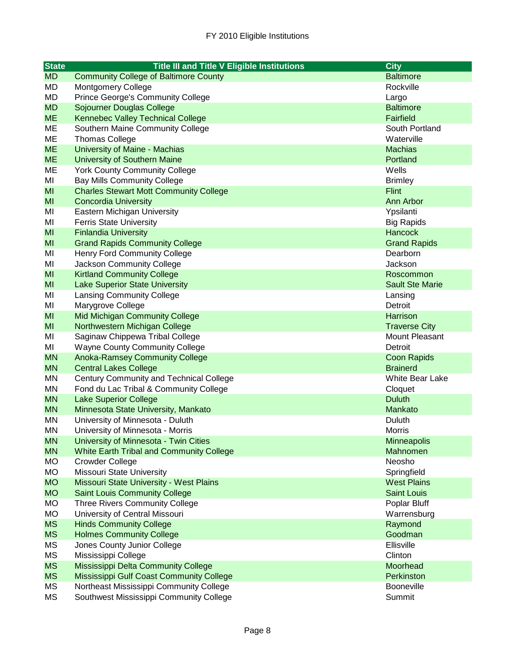| <b>State</b> | <b>Title III and Title V Eligible Institutions</b> | <b>City</b>            |
|--------------|----------------------------------------------------|------------------------|
| <b>MD</b>    | <b>Community College of Baltimore County</b>       | <b>Baltimore</b>       |
| MD           | <b>Montgomery College</b>                          | Rockville              |
| MD           | <b>Prince George's Community College</b>           | Largo                  |
| <b>MD</b>    | Sojourner Douglas College                          | <b>Baltimore</b>       |
| <b>ME</b>    | <b>Kennebec Valley Technical College</b>           | <b>Fairfield</b>       |
| ME           | Southern Maine Community College                   | South Portland         |
| ME           | <b>Thomas College</b>                              | Waterville             |
| <b>ME</b>    | University of Maine - Machias                      | <b>Machias</b>         |
| <b>ME</b>    | University of Southern Maine                       | Portland               |
| ME           | <b>York County Community College</b>               | Wells                  |
| MI           | <b>Bay Mills Community College</b>                 | <b>Brimley</b>         |
| MI           | <b>Charles Stewart Mott Community College</b>      | Flint                  |
| MI           | <b>Concordia University</b>                        | Ann Arbor              |
| MI           | Eastern Michigan University                        | Ypsilanti              |
| MI           | <b>Ferris State University</b>                     | <b>Big Rapids</b>      |
| MI           | <b>Finlandia University</b>                        | Hancock                |
| MI           | <b>Grand Rapids Community College</b>              | <b>Grand Rapids</b>    |
| MI           | <b>Henry Ford Community College</b>                | Dearborn               |
| MI           | Jackson Community College                          | Jackson                |
| MI           | <b>Kirtland Community College</b>                  | Roscommon              |
| MI           | <b>Lake Superior State University</b>              | <b>Sault Ste Marie</b> |
| MI           | <b>Lansing Community College</b>                   | Lansing                |
| MI           | Marygrove College                                  | Detroit                |
| MI           | <b>Mid Michigan Community College</b>              | Harrison               |
| MI           | Northwestern Michigan College                      | <b>Traverse City</b>   |
| MI           | Saginaw Chippewa Tribal College                    | Mount Pleasant         |
| MI           | <b>Wayne County Community College</b>              | Detroit                |
| <b>MN</b>    | <b>Anoka-Ramsey Community College</b>              | <b>Coon Rapids</b>     |
| <b>MN</b>    | <b>Central Lakes College</b>                       | <b>Brainerd</b>        |
| MN           | Century Community and Technical College            | White Bear Lake        |
| MN           | Fond du Lac Tribal & Community College             | Cloquet                |
| <b>MN</b>    | <b>Lake Superior College</b>                       | <b>Duluth</b>          |
| <b>MN</b>    | Minnesota State University, Mankato                | Mankato                |
| ΜN           | University of Minnesota - Duluth                   | Duluth                 |
| MN           | University of Minnesota - Morris                   | <b>Morris</b>          |
| <b>MN</b>    | University of Minnesota - Twin Cities              | <b>Minneapolis</b>     |
| <b>MN</b>    | <b>White Earth Tribal and Community College</b>    | Mahnomen               |
| MO           | <b>Crowder College</b>                             | Neosho                 |
| MO           | Missouri State University                          | Springfield            |
| <b>MO</b>    | Missouri State University - West Plains            | <b>West Plains</b>     |
| <b>MO</b>    | <b>Saint Louis Community College</b>               | <b>Saint Louis</b>     |
| <b>MO</b>    | <b>Three Rivers Community College</b>              | Poplar Bluff           |
| MO           | University of Central Missouri                     | Warrensburg            |
| <b>MS</b>    | <b>Hinds Community College</b>                     | Raymond                |
| <b>MS</b>    | <b>Holmes Community College</b>                    | Goodman                |
| MS           | Jones County Junior College                        | Ellisville             |
| <b>MS</b>    | Mississippi College                                | Clinton                |
| <b>MS</b>    | Mississippi Delta Community College                | Moorhead               |
| <b>MS</b>    | Mississippi Gulf Coast Community College           | Perkinston             |
| MS           | Northeast Mississippi Community College            | Booneville             |
| <b>MS</b>    | Southwest Mississippi Community College            | Summit                 |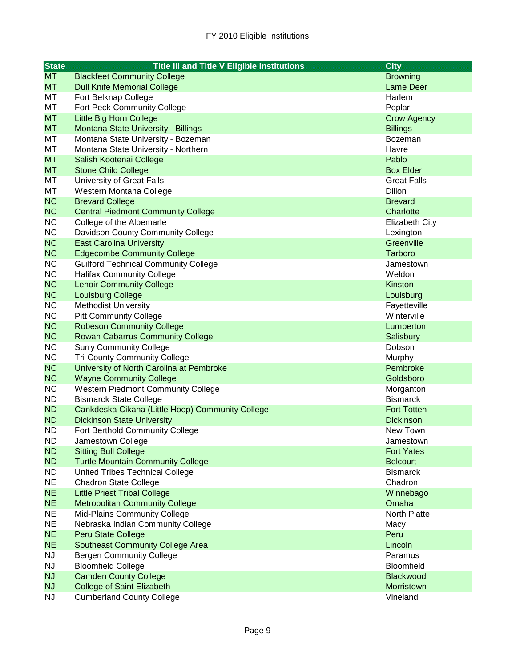| <b>State</b> | <b>Title III and Title V Eligible Institutions</b> | <b>City</b>           |
|--------------|----------------------------------------------------|-----------------------|
| <b>MT</b>    | <b>Blackfeet Community College</b>                 | <b>Browning</b>       |
| <b>MT</b>    | <b>Dull Knife Memorial College</b>                 | <b>Lame Deer</b>      |
| МT           | Fort Belknap College                               | Harlem                |
| МT           | Fort Peck Community College                        | Poplar                |
| <b>MT</b>    | Little Big Horn College                            | <b>Crow Agency</b>    |
| <b>MT</b>    | Montana State University - Billings                | <b>Billings</b>       |
| МT           | Montana State University - Bozeman                 | <b>Bozeman</b>        |
| MT           | Montana State University - Northern                | Havre                 |
| <b>MT</b>    | Salish Kootenai College                            | Pablo                 |
| <b>MT</b>    | <b>Stone Child College</b>                         | <b>Box Elder</b>      |
| МT           | <b>University of Great Falls</b>                   | <b>Great Falls</b>    |
| MT           | Western Montana College                            | Dillon                |
| <b>NC</b>    | <b>Brevard College</b>                             | <b>Brevard</b>        |
| <b>NC</b>    | <b>Central Piedmont Community College</b>          | Charlotte             |
| <b>NC</b>    | College of the Albemarle                           | <b>Elizabeth City</b> |
| <b>NC</b>    | Davidson County Community College                  | Lexington             |
| <b>NC</b>    | <b>East Carolina University</b>                    | Greenville            |
| <b>NC</b>    | <b>Edgecombe Community College</b>                 | Tarboro               |
| <b>NC</b>    | <b>Guilford Technical Community College</b>        | Jamestown             |
| <b>NC</b>    | <b>Halifax Community College</b>                   | Weldon                |
| <b>NC</b>    | <b>Lenoir Community College</b>                    | Kinston               |
| <b>NC</b>    | Louisburg College                                  | Louisburg             |
| <b>NC</b>    | <b>Methodist University</b>                        | Fayetteville          |
| <b>NC</b>    | <b>Pitt Community College</b>                      | Winterville           |
| <b>NC</b>    | <b>Robeson Community College</b>                   | Lumberton             |
| <b>NC</b>    | <b>Rowan Cabarrus Community College</b>            | Salisbury             |
| <b>NC</b>    | <b>Surry Community College</b>                     | Dobson                |
| <b>NC</b>    | <b>Tri-County Community College</b>                | Murphy                |
| <b>NC</b>    | University of North Carolina at Pembroke           | Pembroke              |
| <b>NC</b>    | <b>Wayne Community College</b>                     | Goldsboro             |
| <b>NC</b>    | Western Piedmont Community College                 | Morganton             |
| ND.          | <b>Bismarck State College</b>                      | <b>Bismarck</b>       |
| <b>ND</b>    | Cankdeska Cikana (Little Hoop) Community College   | <b>Fort Totten</b>    |
| <b>ND</b>    | <b>Dickinson State University</b>                  | <b>Dickinson</b>      |
| <b>ND</b>    | Fort Berthold Community College                    | New Town              |
| ND           | Jamestown College                                  | Jamestown             |
| <b>ND</b>    | <b>Sitting Bull College</b>                        | <b>Fort Yates</b>     |
| <b>ND</b>    | <b>Turtle Mountain Community College</b>           | <b>Belcourt</b>       |
| <b>ND</b>    | United Tribes Technical College                    | <b>Bismarck</b>       |
| <b>NE</b>    | <b>Chadron State College</b>                       | Chadron               |
| <b>NE</b>    | <b>Little Priest Tribal College</b>                | Winnebago             |
| <b>NE</b>    | <b>Metropolitan Community College</b>              | Omaha                 |
| <b>NE</b>    | Mid-Plains Community College                       | North Platte          |
| <b>NE</b>    | Nebraska Indian Community College                  | Macy                  |
| <b>NE</b>    | Peru State College                                 | Peru                  |
| <b>NE</b>    | <b>Southeast Community College Area</b>            | Lincoln               |
| <b>NJ</b>    | <b>Bergen Community College</b>                    | Paramus               |
| <b>NJ</b>    | <b>Bloomfield College</b>                          | Bloomfield            |
| <b>NJ</b>    | <b>Camden County College</b>                       | <b>Blackwood</b>      |
| <b>NJ</b>    | <b>College of Saint Elizabeth</b>                  | Morristown            |
| <b>NJ</b>    | <b>Cumberland County College</b>                   | Vineland              |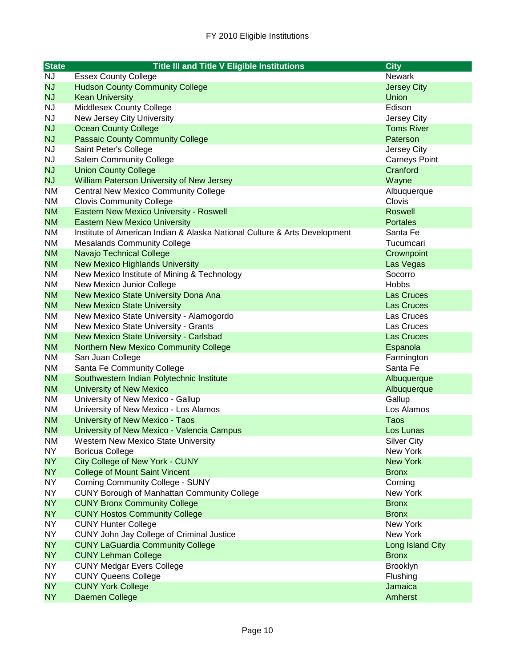| <b>State</b>           | <b>Title III and Title V Eligible Institutions</b>                        | <b>City</b>            |
|------------------------|---------------------------------------------------------------------------|------------------------|
| <b>NJ</b>              | <b>Essex County College</b>                                               | <b>Newark</b>          |
| <b>NJ</b>              | <b>Hudson County Community College</b>                                    | <b>Jersey City</b>     |
| <b>NJ</b>              | <b>Kean University</b>                                                    | Union                  |
| <b>NJ</b>              | Middlesex County College                                                  | Edison                 |
| <b>NJ</b>              | New Jersey City University                                                | Jersey City            |
| <b>NJ</b>              | <b>Ocean County College</b>                                               | <b>Toms River</b>      |
| <b>NJ</b>              | <b>Passaic County Community College</b>                                   | Paterson               |
| <b>NJ</b>              | Saint Peter's College                                                     | Jersey City            |
| <b>NJ</b>              | <b>Salem Community College</b>                                            | <b>Carneys Point</b>   |
| <b>NJ</b>              | <b>Union County College</b>                                               | Cranford               |
| <b>NJ</b>              | William Paterson University of New Jersey                                 | Wayne                  |
| <b>NM</b>              | <b>Central New Mexico Community College</b>                               | Albuquerque            |
| <b>NM</b>              | <b>Clovis Community College</b>                                           | Clovis                 |
| <b>NM</b>              | Eastern New Mexico University - Roswell                                   | <b>Roswell</b>         |
| <b>NM</b>              | <b>Eastern New Mexico University</b>                                      | <b>Portales</b>        |
| NM                     | Institute of American Indian & Alaska National Culture & Arts Development | Santa Fe               |
| <b>NM</b>              | <b>Mesalands Community College</b>                                        | Tucumcari              |
| <b>NM</b>              | Navajo Technical College                                                  | Crownpoint             |
| <b>NM</b>              | <b>New Mexico Highlands University</b>                                    | Las Vegas              |
| NM                     | New Mexico Institute of Mining & Technology                               | Socorro                |
| NM                     | New Mexico Junior College                                                 | <b>Hobbs</b>           |
| <b>NM</b>              | New Mexico State University Dona Ana                                      | <b>Las Cruces</b>      |
| <b>NM</b>              | <b>New Mexico State University</b>                                        | <b>Las Cruces</b>      |
| <b>NM</b>              | New Mexico State University - Alamogordo                                  | Las Cruces             |
| <b>NM</b>              | New Mexico State University - Grants                                      | Las Cruces             |
| <b>NM</b>              | New Mexico State University - Carlsbad                                    | <b>Las Cruces</b>      |
| <b>NM</b><br><b>NM</b> | <b>Northern New Mexico Community College</b>                              | Espanola               |
| <b>NM</b>              | San Juan College<br>Santa Fe Community College                            | Farmington<br>Santa Fe |
| <b>NM</b>              | Southwestern Indian Polytechnic Institute                                 | Albuquerque            |
| <b>NM</b>              | <b>University of New Mexico</b>                                           | Albuquerque            |
| <b>NM</b>              | University of New Mexico - Gallup                                         | Gallup                 |
| <b>NM</b>              | University of New Mexico - Los Alamos                                     | Los Alamos             |
| <b>NM</b>              | University of New Mexico - Taos                                           | Taos                   |
| <b>NM</b>              | University of New Mexico - Valencia Campus                                | Los Lunas              |
| NM                     | <b>Western New Mexico State University</b>                                | <b>Silver City</b>     |
| NY                     | <b>Boricua College</b>                                                    | New York               |
| NY                     | City College of New York - CUNY                                           | <b>New York</b>        |
| <b>NY</b>              | <b>College of Mount Saint Vincent</b>                                     | <b>Bronx</b>           |
| <b>NY</b>              | <b>Corning Community College - SUNY</b>                                   | Corning                |
| <b>NY</b>              | <b>CUNY Borough of Manhattan Community College</b>                        | New York               |
| <b>NY</b>              | <b>CUNY Bronx Community College</b>                                       | <b>Bronx</b>           |
| NY                     | <b>CUNY Hostos Community College</b>                                      | <b>Bronx</b>           |
| NY                     | <b>CUNY Hunter College</b>                                                | New York               |
| NY                     | CUNY John Jay College of Criminal Justice                                 | New York               |
| NY                     | <b>CUNY LaGuardia Community College</b>                                   | Long Island City       |
| NY                     | <b>CUNY Lehman College</b>                                                | <b>Bronx</b>           |
| <b>NY</b>              | <b>CUNY Medgar Evers College</b>                                          | <b>Brooklyn</b>        |
| <b>NY</b>              | <b>CUNY Queens College</b>                                                | Flushing               |
| NY                     | <b>CUNY York College</b>                                                  | Jamaica                |
| <b>NY</b>              | Daemen College                                                            | Amherst                |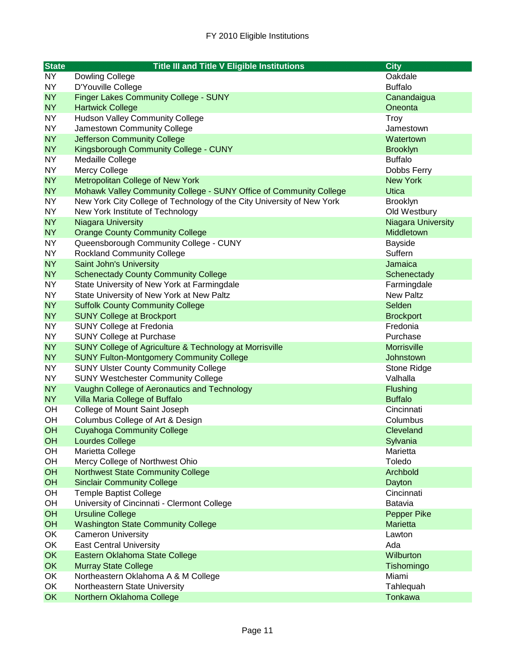| <b>State</b> | <b>Title III and Title V Eligible Institutions</b>                     | <b>City</b>               |
|--------------|------------------------------------------------------------------------|---------------------------|
| <b>NY</b>    | Dowling College                                                        | Oakdale                   |
| <b>NY</b>    | D'Youville College                                                     | <b>Buffalo</b>            |
| <b>NY</b>    | <b>Finger Lakes Community College - SUNY</b>                           | Canandaigua               |
| <b>NY</b>    | <b>Hartwick College</b>                                                | Oneonta                   |
| <b>NY</b>    | <b>Hudson Valley Community College</b>                                 | Troy                      |
| <b>NY</b>    | Jamestown Community College                                            | Jamestown                 |
| <b>NY</b>    | <b>Jefferson Community College</b>                                     | Watertown                 |
| <b>NY</b>    | Kingsborough Community College - CUNY                                  | <b>Brooklyn</b>           |
| <b>NY</b>    | Medaille College                                                       | <b>Buffalo</b>            |
| <b>NY</b>    | Mercy College                                                          | Dobbs Ferry               |
| <b>NY</b>    | Metropolitan College of New York                                       | <b>New York</b>           |
| <b>NY</b>    | Mohawk Valley Community College - SUNY Office of Community College     | <b>Utica</b>              |
| NY           | New York City College of Technology of the City University of New York | <b>Brooklyn</b>           |
| <b>NY</b>    | New York Institute of Technology                                       | Old Westbury              |
| <b>NY</b>    | Niagara University                                                     | <b>Niagara University</b> |
| <b>NY</b>    | <b>Orange County Community College</b>                                 | Middletown                |
| <b>NY</b>    | Queensborough Community College - CUNY                                 | <b>Bayside</b>            |
| <b>NY</b>    | <b>Rockland Community College</b>                                      | Suffern                   |
| <b>NY</b>    | Saint John's University                                                | Jamaica                   |
| <b>NY</b>    | <b>Schenectady County Community College</b>                            | Schenectady               |
| <b>NY</b>    | State University of New York at Farmingdale                            | Farmingdale               |
| <b>NY</b>    | State University of New York at New Paltz                              | <b>New Paltz</b>          |
| <b>NY</b>    | <b>Suffolk County Community College</b>                                | Selden                    |
| <b>NY</b>    | <b>SUNY College at Brockport</b>                                       | <b>Brockport</b>          |
| <b>NY</b>    | SUNY College at Fredonia                                               | Fredonia                  |
| <b>NY</b>    | <b>SUNY College at Purchase</b>                                        | Purchase                  |
| <b>NY</b>    | SUNY College of Agriculture & Technology at Morrisville                | <b>Morrisville</b>        |
| <b>NY</b>    | <b>SUNY Fulton-Montgomery Community College</b>                        | Johnstown                 |
| NY           | <b>SUNY Ulster County Community College</b>                            | Stone Ridge               |
| <b>NY</b>    | <b>SUNY Westchester Community College</b>                              | Valhalla                  |
| <b>NY</b>    | Vaughn College of Aeronautics and Technology                           | Flushing                  |
| NY           | Villa Maria College of Buffalo                                         | <b>Buffalo</b>            |
| OH           | College of Mount Saint Joseph                                          | Cincinnati                |
| OH           | Columbus College of Art & Design                                       | Columbus                  |
| OH           | <b>Cuyahoga Community College</b>                                      | Cleveland                 |
| <b>OH</b>    | Lourdes College                                                        | Sylvania                  |
| OH           | Marietta College                                                       | Marietta                  |
| OH           | Mercy College of Northwest Ohio                                        | Toledo                    |
| OH           | <b>Northwest State Community College</b>                               | Archbold                  |
| OH           | <b>Sinclair Community College</b>                                      | Dayton                    |
| OH           | <b>Temple Baptist College</b>                                          | Cincinnati                |
| OH           | University of Cincinnati - Clermont College                            | Batavia                   |
| OH           | <b>Ursuline College</b>                                                | <b>Pepper Pike</b>        |
| OH           | <b>Washington State Community College</b>                              | <b>Marietta</b>           |
| OK           | <b>Cameron University</b>                                              | Lawton                    |
| OK           | <b>East Central University</b>                                         | Ada                       |
| OK           | Eastern Oklahoma State College                                         | Wilburton                 |
| OK           | <b>Murray State College</b>                                            | Tishomingo                |
| OK           | Northeastern Oklahoma A & M College                                    | Miami                     |
| OK           | Northeastern State University                                          | Tahlequah                 |
| <b>OK</b>    | Northern Oklahoma College                                              | Tonkawa                   |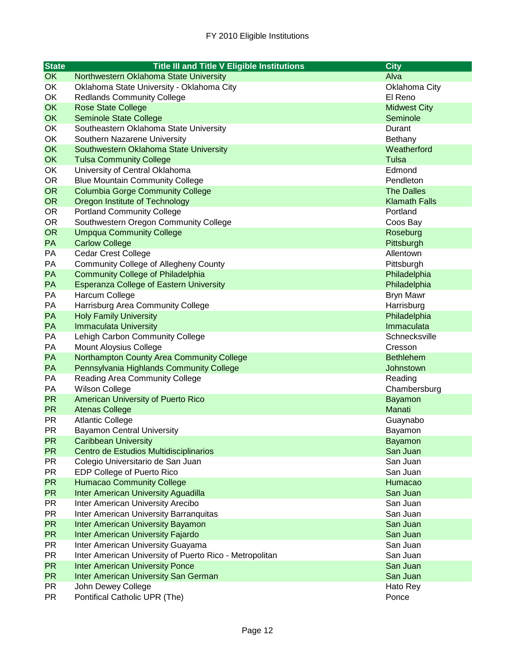| <b>State</b> | <b>Title III and Title V Eligible Institutions</b>      | <b>City</b>          |
|--------------|---------------------------------------------------------|----------------------|
| <b>OK</b>    | Northwestern Oklahoma State University                  | Alva                 |
| OK           | Oklahoma State University - Oklahoma City               | Oklahoma City        |
| OK           | <b>Redlands Community College</b>                       | El Reno              |
| <b>OK</b>    | <b>Rose State College</b>                               | <b>Midwest City</b>  |
| <b>OK</b>    | <b>Seminole State College</b>                           | Seminole             |
| OK           | Southeastern Oklahoma State University                  | Durant               |
| OK           | Southern Nazarene University                            | Bethany              |
| <b>OK</b>    | Southwestern Oklahoma State University                  | Weatherford          |
| OK           | <b>Tulsa Community College</b>                          | <b>Tulsa</b>         |
| OK           | University of Central Oklahoma                          | Edmond               |
| <b>OR</b>    | <b>Blue Mountain Community College</b>                  | Pendleton            |
| <b>OR</b>    | <b>Columbia Gorge Community College</b>                 | <b>The Dalles</b>    |
| <b>OR</b>    | Oregon Institute of Technology                          | <b>Klamath Falls</b> |
| <b>OR</b>    | <b>Portland Community College</b>                       | Portland             |
| <b>OR</b>    | Southwestern Oregon Community College                   | Coos Bay             |
| <b>OR</b>    | <b>Umpqua Community College</b>                         | Roseburg             |
| PA           | <b>Carlow College</b>                                   | Pittsburgh           |
| PA           | <b>Cedar Crest College</b>                              | Allentown            |
| PA           | <b>Community College of Allegheny County</b>            | Pittsburgh           |
| PA           | <b>Community College of Philadelphia</b>                | Philadelphia         |
| PA           | <b>Esperanza College of Eastern University</b>          | Philadelphia         |
| PA           | <b>Harcum College</b>                                   | <b>Bryn Mawr</b>     |
| PA           | Harrisburg Area Community College                       | Harrisburg           |
| PA           | <b>Holy Family University</b>                           | Philadelphia         |
| PA           | <b>Immaculata University</b>                            | Immaculata           |
| PA           | Lehigh Carbon Community College                         | Schnecksville        |
| PA           | Mount Aloysius College                                  | Cresson              |
| PA           | Northampton County Area Community College               | <b>Bethlehem</b>     |
| PA           | Pennsylvania Highlands Community College                | Johnstown            |
| PA           | Reading Area Community College                          | Reading              |
| PA           | <b>Wilson College</b>                                   | Chambersburg         |
| <b>PR</b>    | American University of Puerto Rico                      | Bayamon              |
| <b>PR</b>    | <b>Atenas College</b>                                   | Manati               |
| <b>PR</b>    | <b>Atlantic College</b>                                 | Guaynabo             |
| <b>PR</b>    | <b>Bayamon Central University</b>                       | Bayamon              |
| <b>PR</b>    | <b>Caribbean University</b>                             | <b>Bayamon</b>       |
| <b>PR</b>    | Centro de Estudios Multidisciplinarios                  | San Juan             |
| <b>PR</b>    | Colegio Universitario de San Juan                       | San Juan             |
| <b>PR</b>    | EDP College of Puerto Rico                              | San Juan             |
| <b>PR</b>    | <b>Humacao Community College</b>                        | Humacao              |
| <b>PR</b>    | <b>Inter American University Aguadilla</b>              | San Juan             |
| <b>PR</b>    | Inter American University Arecibo                       | San Juan             |
| <b>PR</b>    | Inter American University Barranquitas                  | San Juan             |
| <b>PR</b>    | <b>Inter American University Bayamon</b>                | San Juan             |
| <b>PR</b>    | <b>Inter American University Fajardo</b>                | San Juan             |
| <b>PR</b>    | Inter American University Guayama                       | San Juan             |
| <b>PR</b>    | Inter American University of Puerto Rico - Metropolitan | San Juan             |
| <b>PR</b>    | <b>Inter American University Ponce</b>                  | San Juan             |
| <b>PR</b>    | <b>Inter American University San German</b>             | San Juan             |
| <b>PR</b>    | John Dewey College                                      | Hato Rey             |
| <b>PR</b>    | Pontifical Catholic UPR (The)                           | Ponce                |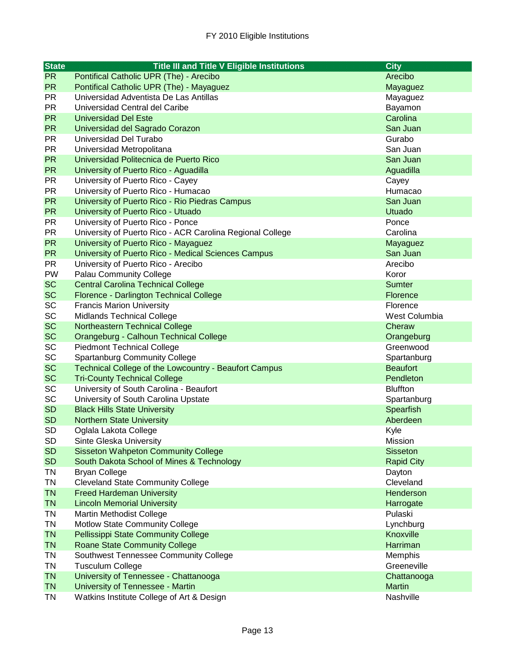| <b>State</b> | <b>Title III and Title V Eligible Institutions</b>        | <b>City</b>       |
|--------------|-----------------------------------------------------------|-------------------|
| <b>PR</b>    | Pontifical Catholic UPR (The) - Arecibo                   | Arecibo           |
| <b>PR</b>    | Pontifical Catholic UPR (The) - Mayaguez                  | Mayaguez          |
| <b>PR</b>    | Universidad Adventista De Las Antillas                    | Mayaguez          |
| <b>PR</b>    | Universidad Central del Caribe                            | Bayamon           |
| <b>PR</b>    | <b>Universidad Del Este</b>                               | Carolina          |
| <b>PR</b>    | Universidad del Sagrado Corazon                           | San Juan          |
| <b>PR</b>    | Universidad Del Turabo                                    | Gurabo            |
| <b>PR</b>    | Universidad Metropolitana                                 | San Juan          |
| <b>PR</b>    | Universidad Politecnica de Puerto Rico                    | San Juan          |
| <b>PR</b>    | University of Puerto Rico - Aguadilla                     | Aguadilla         |
| <b>PR</b>    | University of Puerto Rico - Cayey                         | Cayey             |
| <b>PR</b>    | University of Puerto Rico - Humacao                       | Humacao           |
| <b>PR</b>    | University of Puerto Rico - Rio Piedras Campus            | San Juan          |
| <b>PR</b>    | University of Puerto Rico - Utuado                        | <b>Utuado</b>     |
| <b>PR</b>    | University of Puerto Rico - Ponce                         | Ponce             |
| <b>PR</b>    | University of Puerto Rico - ACR Carolina Regional College | Carolina          |
| <b>PR</b>    | University of Puerto Rico - Mayaguez                      | Mayaguez          |
| <b>PR</b>    | University of Puerto Rico - Medical Sciences Campus       | San Juan          |
| <b>PR</b>    | University of Puerto Rico - Arecibo                       | Arecibo           |
| PW           | <b>Palau Community College</b>                            | Koror             |
| <b>SC</b>    | <b>Central Carolina Technical College</b>                 | Sumter            |
| <b>SC</b>    | Florence - Darlington Technical College                   | <b>Florence</b>   |
| <b>SC</b>    | <b>Francis Marion University</b>                          | Florence          |
| <b>SC</b>    | <b>Midlands Technical College</b>                         | West Columbia     |
| <b>SC</b>    | Northeastern Technical College                            | Cheraw            |
| <b>SC</b>    | Orangeburg - Calhoun Technical College                    | Orangeburg        |
| <b>SC</b>    | <b>Piedmont Technical College</b>                         | Greenwood         |
| <b>SC</b>    | <b>Spartanburg Community College</b>                      | Spartanburg       |
| <b>SC</b>    | Technical College of the Lowcountry - Beaufort Campus     | <b>Beaufort</b>   |
| <b>SC</b>    | <b>Tri-County Technical College</b>                       | Pendleton         |
| <b>SC</b>    | University of South Carolina - Beaufort                   | <b>Bluffton</b>   |
| SC           | University of South Carolina Upstate                      | Spartanburg       |
| <b>SD</b>    | <b>Black Hills State University</b>                       | Spearfish         |
| <b>SD</b>    | <b>Northern State University</b>                          | Aberdeen          |
| <b>SD</b>    | Oglala Lakota College                                     | Kyle              |
| <b>SD</b>    | Sinte Gleska University                                   | Mission           |
| <b>SD</b>    | <b>Sisseton Wahpeton Community College</b>                | <b>Sisseton</b>   |
| <b>SD</b>    | South Dakota School of Mines & Technology                 | <b>Rapid City</b> |
| <b>TN</b>    | <b>Bryan College</b>                                      | Dayton            |
| <b>TN</b>    | <b>Cleveland State Community College</b>                  | Cleveland         |
| <b>TN</b>    | <b>Freed Hardeman University</b>                          | Henderson         |
| <b>TN</b>    | <b>Lincoln Memorial University</b>                        | Harrogate         |
| TN           | Martin Methodist College                                  | Pulaski           |
| TN           | <b>Motlow State Community College</b>                     | Lynchburg         |
| <b>TN</b>    | <b>Pellissippi State Community College</b>                | Knoxville         |
| <b>TN</b>    | <b>Roane State Community College</b>                      | Harriman          |
| TN           | Southwest Tennessee Community College                     | Memphis           |
| <b>TN</b>    | <b>Tusculum College</b>                                   | Greeneville       |
| <b>TN</b>    | University of Tennessee - Chattanooga                     | Chattanooga       |
| <b>TN</b>    | University of Tennessee - Martin                          | <b>Martin</b>     |
| TN           | Watkins Institute College of Art & Design                 | Nashville         |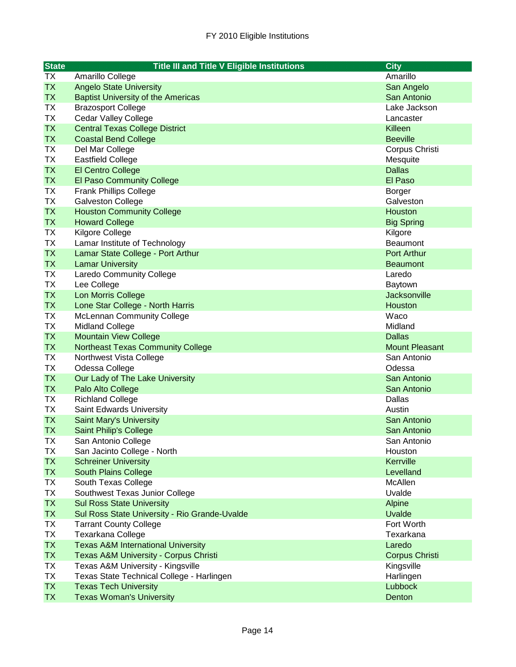| <b>State</b><br><b>Title III and Title V Eligible Institutions</b>                                          | <b>City</b>             |
|-------------------------------------------------------------------------------------------------------------|-------------------------|
| <b>TX</b><br>Amarillo College                                                                               | Amarillo                |
| <b>TX</b><br><b>Angelo State University</b>                                                                 | San Angelo              |
| <b>TX</b><br><b>Baptist University of the Americas</b>                                                      | San Antonio             |
| <b>TX</b><br><b>Brazosport College</b>                                                                      | Lake Jackson            |
| TX<br><b>Cedar Valley College</b>                                                                           | Lancaster               |
| <b>TX</b><br><b>Central Texas College District</b>                                                          | Killeen                 |
| <b>TX</b><br><b>Coastal Bend College</b>                                                                    | <b>Beeville</b>         |
| <b>TX</b><br>Del Mar College                                                                                | Corpus Christi          |
| <b>TX</b><br><b>Eastfield College</b>                                                                       | Mesquite                |
| <b>TX</b><br>El Centro College                                                                              | <b>Dallas</b>           |
| <b>TX</b><br><b>El Paso Community College</b>                                                               | El Paso                 |
| <b>TX</b><br><b>Frank Phillips College</b>                                                                  | <b>Borger</b>           |
| <b>TX</b><br><b>Galveston College</b>                                                                       | Galveston               |
| <b>TX</b><br><b>Houston Community College</b>                                                               | <b>Houston</b>          |
| <b>TX</b><br><b>Howard College</b>                                                                          | <b>Big Spring</b>       |
| <b>TX</b><br>Kilgore College                                                                                | Kilgore                 |
| <b>TX</b><br>Lamar Institute of Technology                                                                  | Beaumont                |
| <b>TX</b><br>Lamar State College - Port Arthur                                                              | Port Arthur             |
| <b>TX</b><br><b>Lamar University</b>                                                                        | <b>Beaumont</b>         |
| ТX<br>Laredo Community College                                                                              | Laredo                  |
| <b>TX</b><br>Lee College                                                                                    | Baytown                 |
| <b>TX</b><br>Lon Morris College                                                                             | Jacksonville            |
| <b>TX</b><br>Lone Star College - North Harris                                                               | Houston                 |
| <b>TX</b><br><b>McLennan Community College</b>                                                              | Waco                    |
| <b>TX</b><br><b>Midland College</b>                                                                         | Midland                 |
| <b>TX</b><br><b>Mountain View College</b>                                                                   | <b>Dallas</b>           |
| <b>TX</b><br><b>Northeast Texas Community College</b>                                                       | <b>Mount Pleasant</b>   |
| <b>TX</b><br>Northwest Vista College                                                                        | San Antonio             |
| <b>TX</b><br>Odessa College                                                                                 | Odessa                  |
| <b>TX</b><br>Our Lady of The Lake University                                                                | San Antonio             |
| <b>TX</b><br>Palo Alto College                                                                              | San Antonio             |
| TX<br><b>Richland College</b>                                                                               | <b>Dallas</b>           |
| <b>TX</b><br>Saint Edwards University                                                                       | Austin                  |
| <b>TX</b><br><b>Saint Mary's University</b>                                                                 | San Antonio             |
| <b>TX</b><br><b>Saint Philip's College</b>                                                                  | San Antonio             |
| TХ<br>San Antonio College                                                                                   | San Antonio             |
| <b>TX</b><br>San Jacinto College - North                                                                    | Houston                 |
| <b>TX</b><br><b>Schreiner University</b>                                                                    | Kerrville               |
| <b>TX</b><br>South Plains College                                                                           | Levelland               |
| TX<br>South Texas College                                                                                   | McAllen                 |
| <b>TX</b><br>Southwest Texas Junior College                                                                 | Uvalde                  |
| <b>TX</b><br><b>Sul Ross State University</b><br><b>TX</b><br>Sul Ross State University - Rio Grande-Uvalde | Alpine<br><b>Uvalde</b> |
| TX<br><b>Tarrant County College</b>                                                                         | Fort Worth              |
| <b>TX</b><br>Texarkana College                                                                              | Texarkana               |
| <b>TX</b><br><b>Texas A&amp;M International University</b>                                                  | Laredo                  |
| <b>TX</b><br>Texas A&M University - Corpus Christi                                                          | <b>Corpus Christi</b>   |
| TX<br>Texas A&M University - Kingsville                                                                     | Kingsville              |
| <b>TX</b><br>Texas State Technical College - Harlingen                                                      | Harlingen               |
| <b>TX</b><br><b>Texas Tech University</b>                                                                   | <b>Lubbock</b>          |
| <b>TX</b><br><b>Texas Woman's University</b>                                                                | Denton                  |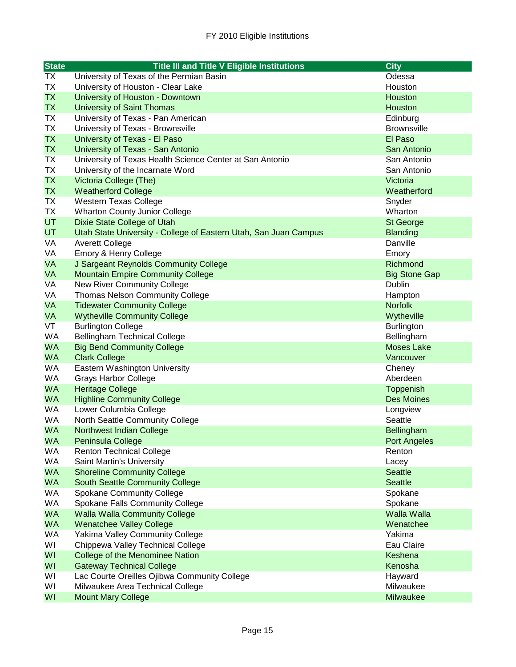| <b>State</b> | <b>Title III and Title V Eligible Institutions</b>               | <b>City</b>          |
|--------------|------------------------------------------------------------------|----------------------|
| TX           | University of Texas of the Permian Basin                         | Odessa               |
| <b>TX</b>    | University of Houston - Clear Lake                               | Houston              |
| <b>TX</b>    | University of Houston - Downtown                                 | Houston              |
| <b>TX</b>    | <b>University of Saint Thomas</b>                                | Houston              |
| TX           | University of Texas - Pan American                               | Edinburg             |
| TX           | University of Texas - Brownsville                                | <b>Brownsville</b>   |
| <b>TX</b>    | University of Texas - El Paso                                    | El Paso              |
| <b>TX</b>    | University of Texas - San Antonio                                | San Antonio          |
| TX           | University of Texas Health Science Center at San Antonio         | San Antonio          |
| TX           | University of the Incarnate Word                                 | San Antonio          |
| <b>TX</b>    | Victoria College (The)                                           | Victoria             |
| <b>TX</b>    | <b>Weatherford College</b>                                       | Weatherford          |
| TX           | <b>Western Texas College</b>                                     | Snyder               |
| TX           | <b>Wharton County Junior College</b>                             | Wharton              |
| <b>UT</b>    | Dixie State College of Utah                                      | St George            |
| <b>UT</b>    | Utah State University - College of Eastern Utah, San Juan Campus | <b>Blanding</b>      |
| VA           | <b>Averett College</b>                                           | Danville             |
| VA           | Emory & Henry College                                            | Emory                |
| <b>VA</b>    | J Sargeant Reynolds Community College                            | Richmond             |
| <b>VA</b>    | <b>Mountain Empire Community College</b>                         | <b>Big Stone Gap</b> |
| VA           | <b>New River Community College</b>                               | Dublin               |
| VA           | <b>Thomas Nelson Community College</b>                           | Hampton              |
| <b>VA</b>    | <b>Tidewater Community College</b>                               | <b>Norfolk</b>       |
| <b>VA</b>    | <b>Wytheville Community College</b>                              | Wytheville           |
| VT           | <b>Burlington College</b>                                        | <b>Burlington</b>    |
| <b>WA</b>    | <b>Bellingham Technical College</b>                              | Bellingham           |
| <b>WA</b>    | <b>Big Bend Community College</b>                                | <b>Moses Lake</b>    |
| <b>WA</b>    | <b>Clark College</b>                                             | Vancouver            |
| <b>WA</b>    | Eastern Washington University                                    | Cheney               |
| <b>WA</b>    | <b>Grays Harbor College</b>                                      | Aberdeen             |
| <b>WA</b>    | <b>Heritage College</b>                                          | Toppenish            |
| <b>WA</b>    | <b>Highline Community College</b>                                | <b>Des Moines</b>    |
| <b>WA</b>    | Lower Columbia College                                           | Longview             |
| <b>WA</b>    | North Seattle Community College                                  | Seattle              |
| <b>WA</b>    | <b>Northwest Indian College</b>                                  | Bellingham           |
| WA           | Peninsula College                                                | <b>Port Angeles</b>  |
| WA           | <b>Renton Technical College</b>                                  | Renton               |
| WA           | Saint Martin's University                                        | Lacey                |
| <b>WA</b>    | <b>Shoreline Community College</b>                               | <b>Seattle</b>       |
| <b>WA</b>    | <b>South Seattle Community College</b>                           | <b>Seattle</b>       |
| WA           | <b>Spokane Community College</b>                                 | Spokane              |
| WA           | Spokane Falls Community College                                  | Spokane              |
| <b>WA</b>    | <b>Walla Walla Community College</b>                             | <b>Walla Walla</b>   |
| <b>WA</b>    | <b>Wenatchee Valley College</b>                                  | Wenatchee            |
| WA           | Yakima Valley Community College                                  | Yakima               |
| WI           | Chippewa Valley Technical College                                | Eau Claire           |
| WI           | College of the Menominee Nation                                  | Keshena              |
| WI           | <b>Gateway Technical College</b>                                 | Kenosha              |
| WI           | Lac Courte Oreilles Ojibwa Community College                     | Hayward              |
| WI           | Milwaukee Area Technical College                                 | Milwaukee            |
| WI           | <b>Mount Mary College</b>                                        | Milwaukee            |